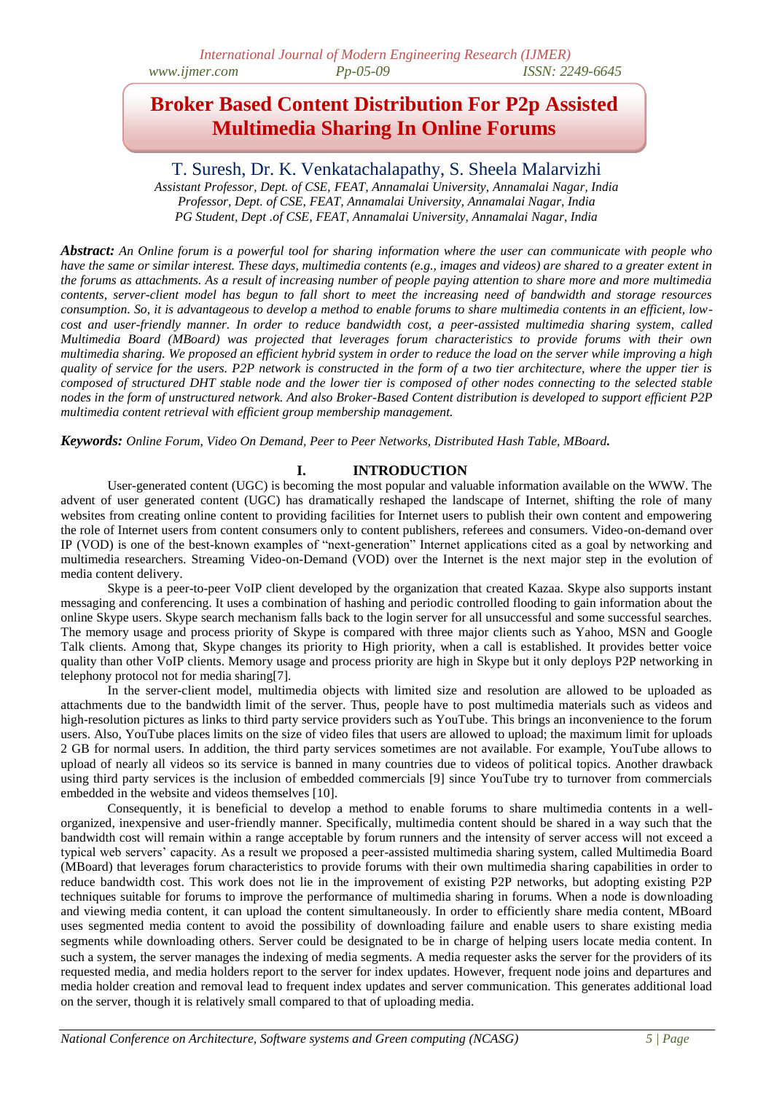## **Broker Based Content Distribution For P2p Assisted Multimedia Sharing In Online Forums**

## T. Suresh, Dr. K. Venkatachalapathy, S. Sheela Malarvizhi

*Assistant Professor, Dept. of CSE, FEAT, Annamalai University, Annamalai Nagar, India Professor, Dept. of CSE, FEAT, Annamalai University, Annamalai Nagar, India PG Student, Dept .of CSE, FEAT, Annamalai University, Annamalai Nagar, India*

*Abstract: An Online forum is a powerful tool for sharing information where the user can communicate with people who have the same or similar interest. These days, multimedia contents (e.g., images and videos) are shared to a greater extent in the forums as attachments. As a result of increasing number of people paying attention to share more and more multimedia contents, server-client model has begun to fall short to meet the increasing need of bandwidth and storage resources consumption. So, it is advantageous to develop a method to enable forums to share multimedia contents in an efficient, lowcost and user-friendly manner. In order to reduce bandwidth cost, a peer-assisted multimedia sharing system, called Multimedia Board (MBoard) was projected that leverages forum characteristics to provide forums with their own multimedia sharing. We proposed an efficient hybrid system in order to reduce the load on the server while improving a high quality of service for the users. P2P network is constructed in the form of a two tier architecture, where the upper tier is composed of structured DHT stable node and the lower tier is composed of other nodes connecting to the selected stable nodes in the form of unstructured network. And also Broker-Based Content distribution is developed to support efficient P2P multimedia content retrieval with efficient group membership management.*

*Keywords: Online Forum, Video On Demand, Peer to Peer Networks, Distributed Hash Table, MBoard.*

#### **I. INTRODUCTION**

User-generated content (UGC) is becoming the most popular and valuable information available on the WWW. The advent of user generated content (UGC) has dramatically reshaped the landscape of Internet, shifting the role of many websites from creating online content to providing facilities for Internet users to publish their own content and empowering the role of Internet users from content consumers only to content publishers, referees and consumers. Video-on-demand over IP (VOD) is one of the best-known examples of "next-generation" Internet applications cited as a goal by networking and multimedia researchers. Streaming Video-on-Demand (VOD) over the Internet is the next major step in the evolution of media content delivery.

Skype is a peer-to-peer VoIP client developed by the organization that created Kazaa. Skype also supports instant messaging and conferencing. It uses a combination of hashing and periodic controlled flooding to gain information about the online Skype users. Skype search mechanism falls back to the login server for all unsuccessful and some successful searches. The memory usage and process priority of Skype is compared with three major clients such as Yahoo, MSN and Google Talk clients. Among that, Skype changes its priority to High priority, when a call is established. It provides better voice quality than other VoIP clients. Memory usage and process priority are high in Skype but it only deploys P2P networking in telephony protocol not for media sharing[7].

In the server-client model, multimedia objects with limited size and resolution are allowed to be uploaded as attachments due to the bandwidth limit of the server. Thus, people have to post multimedia materials such as videos and high-resolution pictures as links to third party service providers such as YouTube. This brings an inconvenience to the forum users. Also, YouTube places limits on the size of video files that users are allowed to upload; the maximum limit for uploads 2 GB for normal users. In addition, the third party services sometimes are not available. For example, YouTube allows to upload of nearly all videos so its service is banned in many countries due to videos of political topics. Another drawback using third party services is the inclusion of embedded commercials [9] since YouTube try to turnover from commercials embedded in the website and videos themselves [10].

Consequently, it is beneficial to develop a method to enable forums to share multimedia contents in a wellorganized, inexpensive and user-friendly manner. Specifically, multimedia content should be shared in a way such that the bandwidth cost will remain within a range acceptable by forum runners and the intensity of server access will not exceed a typical web servers' capacity. As a result we proposed a peer-assisted multimedia sharing system, called Multimedia Board (MBoard) that leverages forum characteristics to provide forums with their own multimedia sharing capabilities in order to reduce bandwidth cost. This work does not lie in the improvement of existing P2P networks, but adopting existing P2P techniques suitable for forums to improve the performance of multimedia sharing in forums. When a node is downloading and viewing media content, it can upload the content simultaneously. In order to efficiently share media content, MBoard uses segmented media content to avoid the possibility of downloading failure and enable users to share existing media segments while downloading others. Server could be designated to be in charge of helping users locate media content. In such a system, the server manages the indexing of media segments. A media requester asks the server for the providers of its requested media, and media holders report to the server for index updates. However, frequent node joins and departures and media holder creation and removal lead to frequent index updates and server communication. This generates additional load on the server, though it is relatively small compared to that of uploading media.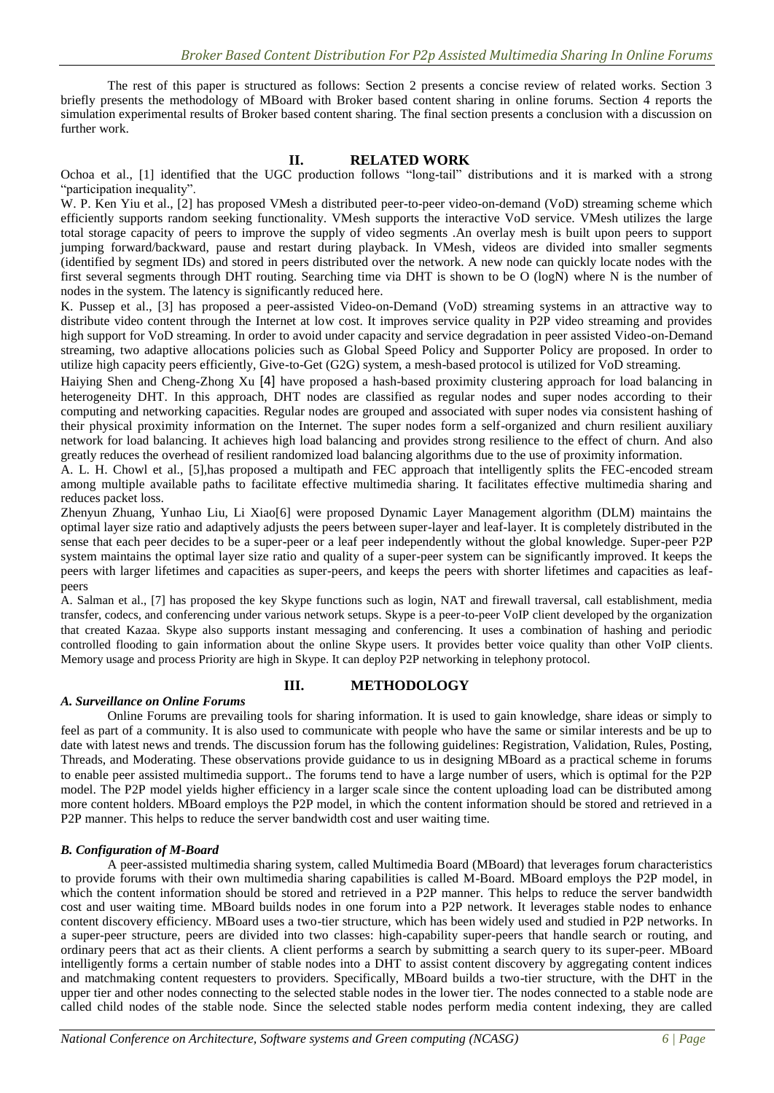The rest of this paper is structured as follows: Section 2 presents a concise review of related works. Section 3 briefly presents the methodology of MBoard with Broker based content sharing in online forums. Section 4 reports the simulation experimental results of Broker based content sharing. The final section presents a conclusion with a discussion on further work.

#### **II. RELATED WORK**

Ochoa et al., [1] identified that the UGC production follows "long-tail" distributions and it is marked with a strong "participation inequality".

W. P. Ken Yiu et al., [2] has proposed VMesh a distributed peer-to-peer video-on-demand (VoD) streaming scheme which efficiently supports random seeking functionality. VMesh supports the interactive VoD service. VMesh utilizes the large total storage capacity of peers to improve the supply of video segments .An overlay mesh is built upon peers to support jumping forward/backward, pause and restart during playback. In VMesh, videos are divided into smaller segments (identified by segment IDs) and stored in peers distributed over the network. A new node can quickly locate nodes with the first several segments through DHT routing. Searching time via DHT is shown to be O (logN) where N is the number of nodes in the system. The latency is significantly reduced here.

K. Pussep et al., [3] has proposed a peer-assisted Video-on-Demand (VoD) streaming systems in an attractive way to distribute video content through the Internet at low cost. It improves service quality in P2P video streaming and provides high support for VoD streaming. In order to avoid under capacity and service degradation in peer assisted Video-on-Demand streaming, two adaptive allocations policies such as Global Speed Policy and Supporter Policy are proposed. In order to utilize high capacity peers efficiently, Give-to-Get (G2G) system, a mesh-based protocol is utilized for VoD streaming.

Haiying Shen and Cheng-Zhong Xu [4] have proposed a hash-based proximity clustering approach for load balancing in heterogeneity DHT. In this approach, DHT nodes are classified as regular nodes and super nodes according to their computing and networking capacities. Regular nodes are grouped and associated with super nodes via consistent hashing of their physical proximity information on the Internet. The super nodes form a self-organized and churn resilient auxiliary network for load balancing. It achieves high load balancing and provides strong resilience to the effect of churn. And also greatly reduces the overhead of resilient randomized load balancing algorithms due to the use of proximity information.

A. L. H. Chowl et al., [5],has proposed a multipath and FEC approach that intelligently splits the FEC-encoded stream among multiple available paths to facilitate effective multimedia sharing. It facilitates effective multimedia sharing and reduces packet loss.

Zhenyun Zhuang, Yunhao Liu, Li Xiao[6] were proposed Dynamic Layer Management algorithm (DLM) maintains the optimal layer size ratio and adaptively adjusts the peers between super-layer and leaf-layer. It is completely distributed in the sense that each peer decides to be a super-peer or a leaf peer independently without the global knowledge. Super-peer P2P system maintains the optimal layer size ratio and quality of a super-peer system can be significantly improved. It keeps the peers with larger lifetimes and capacities as super-peers, and keeps the peers with shorter lifetimes and capacities as leafpeers

A. Salman et al., [7] has proposed the key Skype functions such as login, NAT and firewall traversal, call establishment, media transfer, codecs, and conferencing under various network setups. Skype is a peer-to-peer VoIP client developed by the organization that created Kazaa. Skype also supports instant messaging and conferencing. It uses a combination of hashing and periodic controlled flooding to gain information about the online Skype users. It provides better voice quality than other VoIP clients. Memory usage and process Priority are high in Skype. It can deploy P2P networking in telephony protocol.

### *A. Surveillance on Online Forums*

# **III. METHODOLOGY**

Online Forums are prevailing tools for sharing information. It is used to gain knowledge, share ideas or simply to feel as part of a community. It is also used to communicate with people who have the same or similar interests and be up to date with latest news and trends. The discussion forum has the following guidelines: Registration, Validation, Rules, Posting, Threads, and Moderating. These observations provide guidance to us in designing MBoard as a practical scheme in forums to enable peer assisted multimedia support.. The forums tend to have a large number of users, which is optimal for the P2P model. The P2P model yields higher efficiency in a larger scale since the content uploading load can be distributed among more content holders. MBoard employs the P2P model, in which the content information should be stored and retrieved in a P2P manner. This helps to reduce the server bandwidth cost and user waiting time.

#### *B. Configuration of M-Board*

A peer-assisted multimedia sharing system, called Multimedia Board (MBoard) that leverages forum characteristics to provide forums with their own multimedia sharing capabilities is called M-Board. MBoard employs the P2P model, in which the content information should be stored and retrieved in a P2P manner. This helps to reduce the server bandwidth cost and user waiting time. MBoard builds nodes in one forum into a P2P network. It leverages stable nodes to enhance content discovery efficiency. MBoard uses a two-tier structure, which has been widely used and studied in P2P networks. In a super-peer structure, peers are divided into two classes: high-capability super-peers that handle search or routing, and ordinary peers that act as their clients. A client performs a search by submitting a search query to its super-peer. MBoard intelligently forms a certain number of stable nodes into a DHT to assist content discovery by aggregating content indices and matchmaking content requesters to providers. Specifically, MBoard builds a two-tier structure, with the DHT in the upper tier and other nodes connecting to the selected stable nodes in the lower tier. The nodes connected to a stable node are called child nodes of the stable node. Since the selected stable nodes perform media content indexing, they are called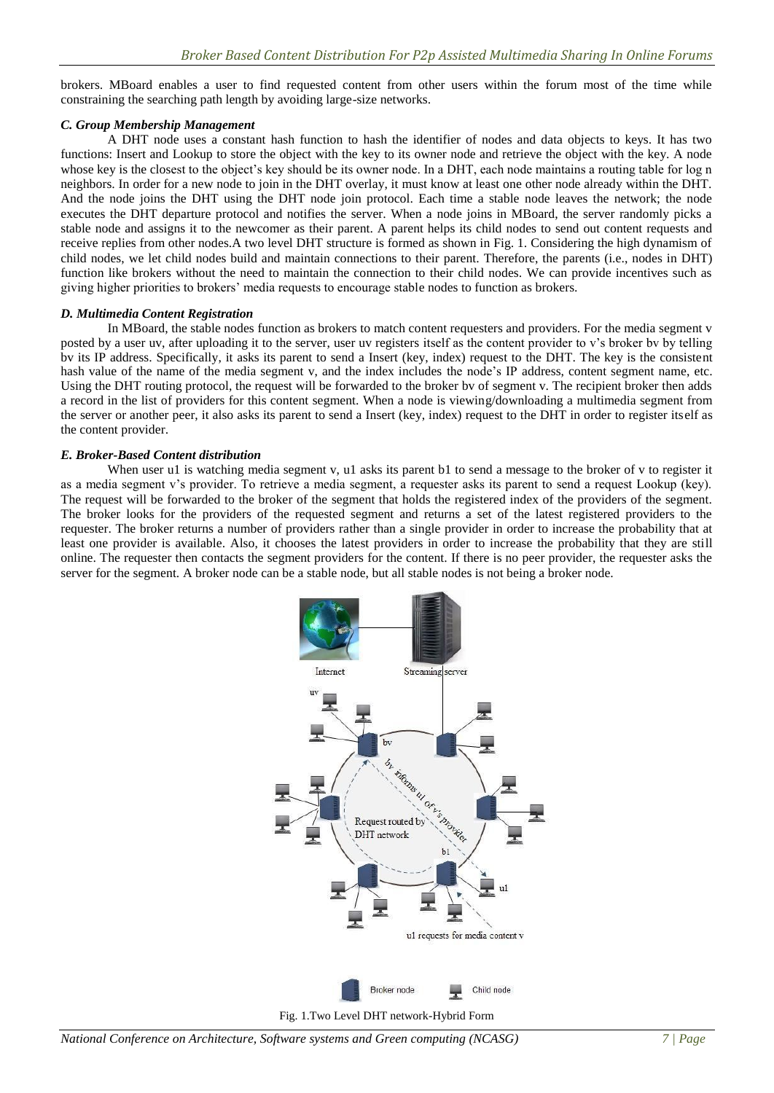brokers. MBoard enables a user to find requested content from other users within the forum most of the time while constraining the searching path length by avoiding large-size networks.

#### *C. Group Membership Management*

A DHT node uses a constant hash function to hash the identifier of nodes and data objects to keys. It has two functions: Insert and Lookup to store the object with the key to its owner node and retrieve the object with the key. A node whose key is the closest to the object's key should be its owner node. In a DHT, each node maintains a routing table for log n neighbors. In order for a new node to join in the DHT overlay, it must know at least one other node already within the DHT. And the node joins the DHT using the DHT node join protocol. Each time a stable node leaves the network; the node executes the DHT departure protocol and notifies the server. When a node joins in MBoard, the server randomly picks a stable node and assigns it to the newcomer as their parent. A parent helps its child nodes to send out content requests and receive replies from other nodes.A two level DHT structure is formed as shown in Fig. 1. Considering the high dynamism of child nodes, we let child nodes build and maintain connections to their parent. Therefore, the parents (i.e., nodes in DHT) function like brokers without the need to maintain the connection to their child nodes. We can provide incentives such as giving higher priorities to brokers' media requests to encourage stable nodes to function as brokers.

#### *D. Multimedia Content Registration*

In MBoard, the stable nodes function as brokers to match content requesters and providers. For the media segment v posted by a user uv, after uploading it to the server, user uv registers itself as the content provider to v's broker bv by telling bv its IP address. Specifically, it asks its parent to send a Insert (key, index) request to the DHT. The key is the consistent hash value of the name of the media segment v, and the index includes the node's IP address, content segment name, etc. Using the DHT routing protocol, the request will be forwarded to the broker bv of segment v. The recipient broker then adds a record in the list of providers for this content segment. When a node is viewing/downloading a multimedia segment from the server or another peer, it also asks its parent to send a Insert (key, index) request to the DHT in order to register itself as the content provider.

#### *E. Broker-Based Content distribution*

When user u1 is watching media segment v, u1 asks its parent b1 to send a message to the broker of v to register it as a media segment v's provider. To retrieve a media segment, a requester asks its parent to send a request Lookup (key). The request will be forwarded to the broker of the segment that holds the registered index of the providers of the segment. The broker looks for the providers of the requested segment and returns a set of the latest registered providers to the requester. The broker returns a number of providers rather than a single provider in order to increase the probability that at least one provider is available. Also, it chooses the latest providers in order to increase the probability that they are still online. The requester then contacts the segment providers for the content. If there is no peer provider, the requester asks the server for the segment. A broker node can be a stable node, but all stable nodes is not being a broker node.

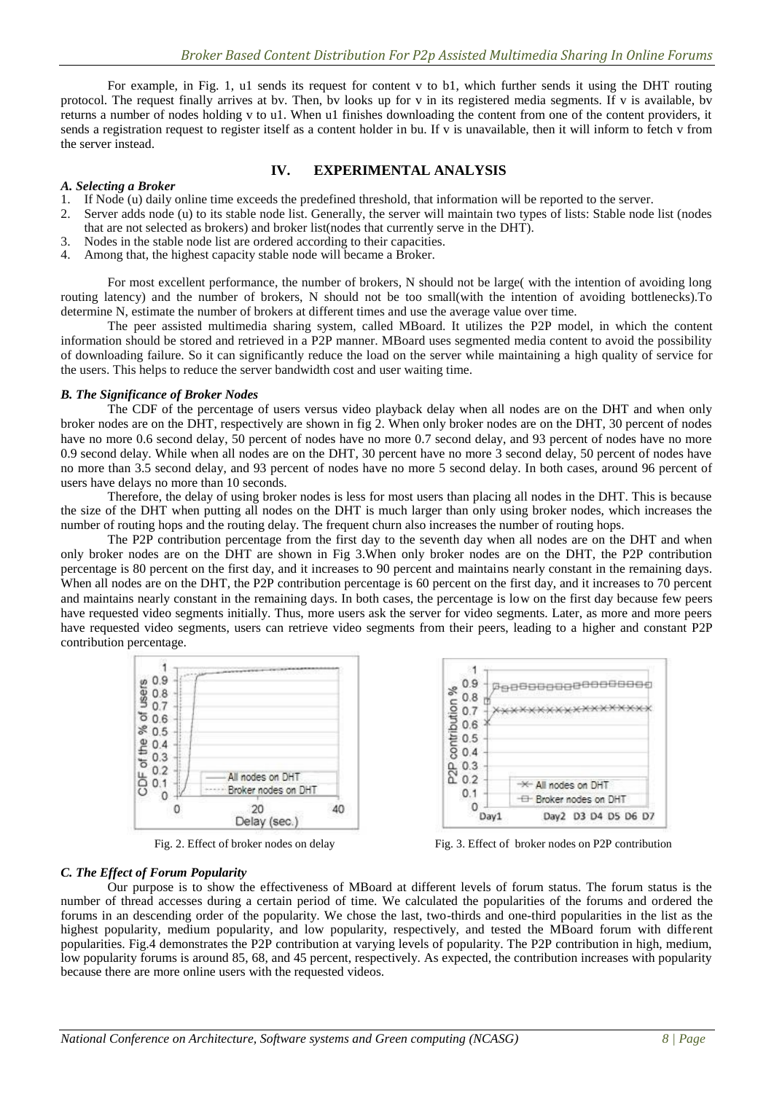For example, in Fig. 1, u1 sends its request for content v to b1, which further sends it using the DHT routing protocol. The request finally arrives at bv. Then, bv looks up for v in its registered media segments. If v is available, bv returns a number of nodes holding v to u1. When u1 finishes downloading the content from one of the content providers, it sends a registration request to register itself as a content holder in bu. If v is unavailable, then it will inform to fetch v from the server instead.

#### *A. Selecting a Broker*

#### **IV. EXPERIMENTAL ANALYSIS**

- 1. If Node (u) daily online time exceeds the predefined threshold, that information will be reported to the server.
- 2. Server adds node (u) to its stable node list. Generally, the server will maintain two types of lists: Stable node list (nodes that are not selected as brokers) and broker list(nodes that currently serve in the DHT).
- 3. Nodes in the stable node list are ordered according to their capacities.
- 4. Among that, the highest capacity stable node will became a Broker.

For most excellent performance, the number of brokers, N should not be large( with the intention of avoiding long routing latency) and the number of brokers, N should not be too small(with the intention of avoiding bottlenecks).To determine N, estimate the number of brokers at different times and use the average value over time.

The peer assisted multimedia sharing system, called MBoard. It utilizes the P2P model, in which the content information should be stored and retrieved in a P2P manner. MBoard uses segmented media content to avoid the possibility of downloading failure. So it can significantly reduce the load on the server while maintaining a high quality of service for the users. This helps to reduce the server bandwidth cost and user waiting time.

#### *B. The Significance of Broker Nodes*

The CDF of the percentage of users versus video playback delay when all nodes are on the DHT and when only broker nodes are on the DHT, respectively are shown in fig 2. When only broker nodes are on the DHT, 30 percent of nodes have no more 0.6 second delay, 50 percent of nodes have no more 0.7 second delay, and 93 percent of nodes have no more 0.9 second delay. While when all nodes are on the DHT, 30 percent have no more 3 second delay, 50 percent of nodes have no more than 3.5 second delay, and 93 percent of nodes have no more 5 second delay. In both cases, around 96 percent of users have delays no more than 10 seconds.

Therefore, the delay of using broker nodes is less for most users than placing all nodes in the DHT. This is because the size of the DHT when putting all nodes on the DHT is much larger than only using broker nodes, which increases the number of routing hops and the routing delay. The frequent churn also increases the number of routing hops.

The P2P contribution percentage from the first day to the seventh day when all nodes are on the DHT and when only broker nodes are on the DHT are shown in Fig 3.When only broker nodes are on the DHT, the P2P contribution percentage is 80 percent on the first day, and it increases to 90 percent and maintains nearly constant in the remaining days. When all nodes are on the DHT, the P2P contribution percentage is 60 percent on the first day, and it increases to 70 percent and maintains nearly constant in the remaining days. In both cases, the percentage is low on the first day because few peers have requested video segments initially. Thus, more users ask the server for video segments. Later, as more and more peers have requested video segments, users can retrieve video segments from their peers, leading to a higher and constant P2P contribution percentage.





Fig. 2. Effect of broker nodes on delay Fig. 3. Effect of broker nodes on P2P contribution

#### *C. The Effect of Forum Popularity*

Our purpose is to show the effectiveness of MBoard at different levels of forum status. The forum status is the number of thread accesses during a certain period of time. We calculated the popularities of the forums and ordered the forums in an descending order of the popularity. We chose the last, two-thirds and one-third popularities in the list as the highest popularity, medium popularity, and low popularity, respectively, and tested the MBoard forum with different popularities. Fig.4 demonstrates the P2P contribution at varying levels of popularity. The P2P contribution in high, medium, low popularity forums is around 85, 68, and 45 percent, respectively. As expected, the contribution increases with popularity because there are more online users with the requested videos.